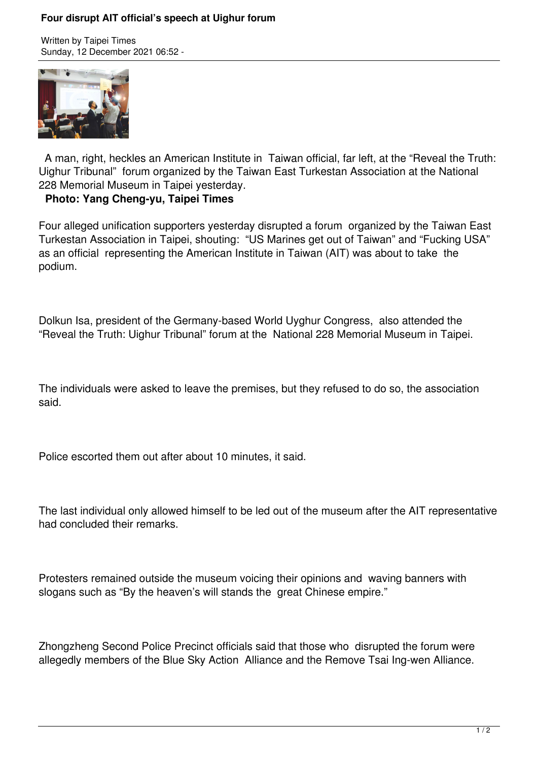## **Four disrupt AIT official's speech at Uighur forum**

Written by Taipei Times Sunday, 12 December 2021 06:52 -



 A man, right, heckles an American Institute in Taiwan official, far left, at the "Reveal the Truth: Uighur Tribunal" forum organized by the Taiwan East Turkestan Association at the National 228 Memorial Museum in Taipei yesterday.

## **Photo: Yang Cheng-yu, Taipei Times**

Four alleged unification supporters yesterday disrupted a forum organized by the Taiwan East Turkestan Association in Taipei, shouting: "US Marines get out of Taiwan" and "Fucking USA" as an official representing the American Institute in Taiwan (AIT) was about to take the podium.

Dolkun Isa, president of the Germany-based World Uyghur Congress, also attended the "Reveal the Truth: Uighur Tribunal" forum at the National 228 Memorial Museum in Taipei.

The individuals were asked to leave the premises, but they refused to do so, the association said.

Police escorted them out after about 10 minutes, it said.

The last individual only allowed himself to be led out of the museum after the AIT representative had concluded their remarks.

Protesters remained outside the museum voicing their opinions and waving banners with slogans such as "By the heaven's will stands the great Chinese empire."

Zhongzheng Second Police Precinct officials said that those who disrupted the forum were allegedly members of the Blue Sky Action Alliance and the Remove Tsai Ing-wen Alliance.